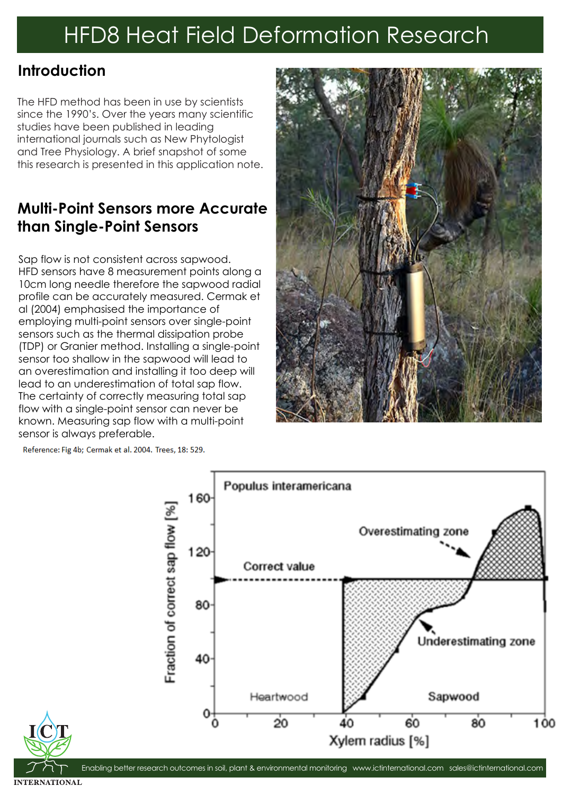#### **Introduction**

The HFD method has been in use by scientists since the 1990's. Over the years many scientific studies have been published in leading international journals such as New Phytologist and Tree Physiology. A brief snapshot of some this research is presented in this application note.

### **Multi-Point Sensors more Accurate than Single-Point Sensors**

Sap flow is not consistent across sapwood. HFD sensors have 8 measurement points along a 10cm long needle therefore the sapwood radial profile can be accurately measured. Cermak et al (2004) emphasised the importance of employing multi-point sensors over single-point sensors such as the thermal dissipation probe (TDP) or Granier method. Installing a single-point sensor too shallow in the sapwood will lead to an overestimation and installing it too deep will lead to an underestimation of total sap flow. The certainty of correctly measuring total sap flow with a single-point sensor can never be known. Measuring sap flow with a multi-point sensor is always preferable.



Reference: Fig 4b; Cermak et al. 2004. Trees, 18: 529.



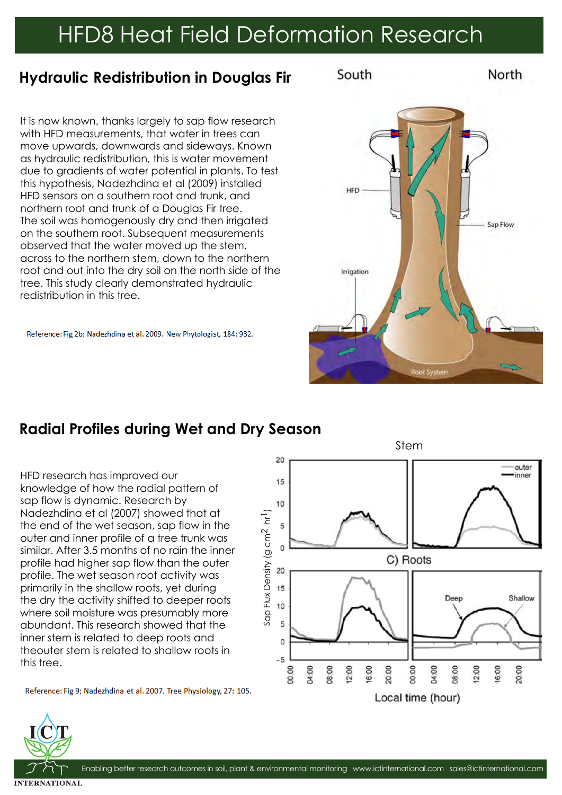Sap Flux Density (g cm2 hr Sap Flux Density (g cm<sup>2</sup> hr<sup>1</sup>)

#### **Hydraulic Redistribution in Douglas Fir**

It is now known, thanks largely to sap flow research with HFD measurements, that water in trees can move upwards, downwards and sideways. Known as hydraulic redistribution, this is water movement due to gradients of water potential in plants. To test this hypothesis, Nadezhdina et al (2009) installed HFD sensors on a southern root and trunk, and northern root and trunk of a Douglas Fir tree. The soil was homogenously dry and then irrigated on the southern root. Subsequent measurements observed that the water moved up the stem, across to the northern stem, down to the northern root and out into the dry soil on the north side of the tree. This study clearly demonstrated hydraulic redistribution in this tree.

Reference: Fig 2b; Nadezhdina et al. 2009. New Phytologist, 184: 932.

## **Radial Profiles during Wet and Dry Season**

HFD research has improved our knowledge of how the radial pattern of sap flow is dynamic. Research by Nadezhdina et al (2007) showed that at the end of the wet season, sap flow in the outer and inner profile of a tree trunk was similar. After 3.5 months of no rain the inner profile had higher sap flow than the outer profile. The wet season root activity was primarily in the shallow roots, yet during the dry the activity shifted to deeper roots where soil moisture was presumably more abundant. This research showed that the inner stem is related to deep roots and theouter stem is related to shallow roots in this tree.

Reference: Fig 9; Nadezhdina et al. 2007. Tree Physiology, 27: 105.





Stem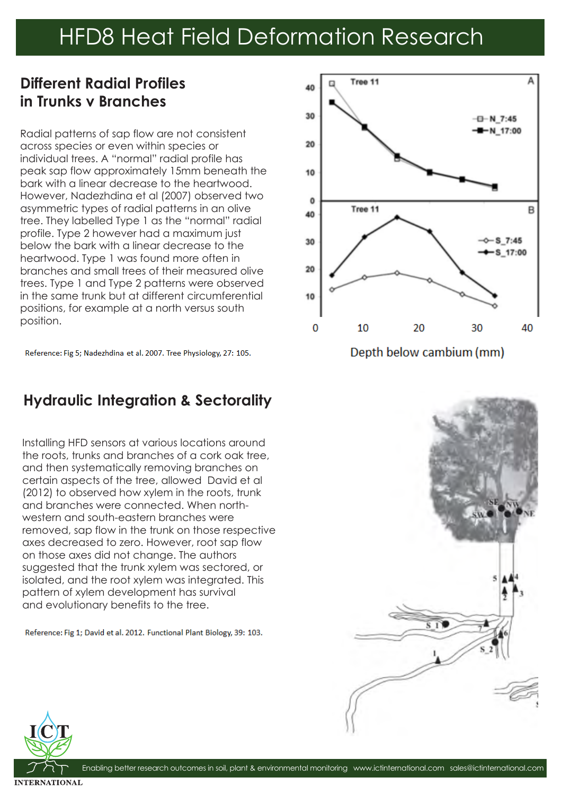### **Different Radial Profiles in Trunks v Branches**

Radial patterns of sap flow are not consistent across species or even within species or individual trees. A "normal" radial profile has peak sap flow approximately 15mm beneath the bark with a linear decrease to the heartwood. However, Nadezhdina et al (2007) observed two asymmetric types of radial patterns in an olive tree. They labelled Type 1 as the "normal" radial profile. Type 2 however had a maximum just below the bark with a linear decrease to the heartwood. Type 1 was found more often in branches and small trees of their measured olive trees. Type 1 and Type 2 patterns were observed in the same trunk but at different circumferential positions, for example at a north versus south position.

Reference: Fig 5; Nadezhdina et al. 2007. Tree Physiology, 27: 105.

#### **Hydraulic Integration & Sectorality**

Installing HFD sensors at various locations around the roots, trunks and branches of a cork oak tree, and then systematically removing branches on certain aspects of the tree, allowed David et al (2012) to observed how xylem in the roots, trunk and branches were connected. When northwestern and south-eastern branches were removed, sap flow in the trunk on those respective axes decreased to zero. However, root sap flow on those axes did not change. The authors suggested that the trunk xylem was sectored, or isolated, and the root xylem was integrated. This pattern of xylem development has survival and evolutionary benefits to the tree.

Reference: Fig 1; David et al. 2012. Functional Plant Biology, 39: 103.